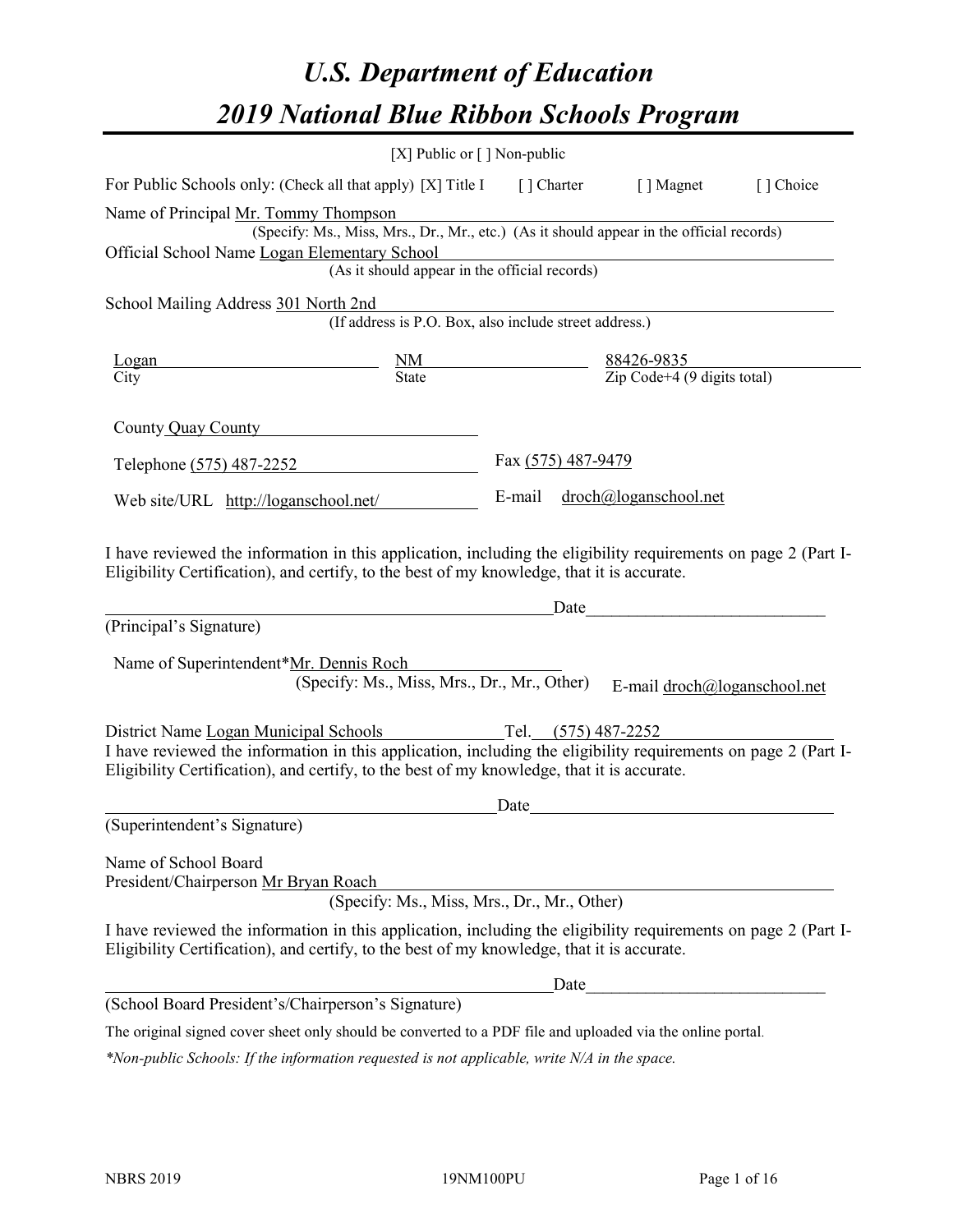# *U.S. Department of Education 2019 National Blue Ribbon Schools Program*

|                                                                                                                                                                                                              | [X] Public or [] Non-public                                                                                                                                                                                                    |                       |                                                                                                                        |           |
|--------------------------------------------------------------------------------------------------------------------------------------------------------------------------------------------------------------|--------------------------------------------------------------------------------------------------------------------------------------------------------------------------------------------------------------------------------|-----------------------|------------------------------------------------------------------------------------------------------------------------|-----------|
| For Public Schools only: (Check all that apply) [X] Title I [] Charter [] Magnet                                                                                                                             |                                                                                                                                                                                                                                |                       |                                                                                                                        | [] Choice |
| Name of Principal Mr. Tommy Thompson                                                                                                                                                                         |                                                                                                                                                                                                                                |                       |                                                                                                                        |           |
|                                                                                                                                                                                                              | r. Tommy Thompson<br>(Specify: Ms., Miss, Mrs., Dr., Mr., etc.) (As it should appear in the official records)                                                                                                                  |                       |                                                                                                                        |           |
| Official School Name Logan Elementary School                                                                                                                                                                 |                                                                                                                                                                                                                                |                       |                                                                                                                        |           |
|                                                                                                                                                                                                              | Example 1 and Section 2 and Section 2 and Section 2 and Section 2 and Section 2 and Section 2 and Section 2 and Section 2 and Section 2 and Section 2 and Section 2 and Section 2 and Section 2 and Section 2 and Section 2 an |                       |                                                                                                                        |           |
| School Mailing Address 301 North 2nd                                                                                                                                                                         |                                                                                                                                                                                                                                |                       |                                                                                                                        |           |
|                                                                                                                                                                                                              | Tun 2nd<br>(If address is P.O. Box, also include street address.)                                                                                                                                                              |                       |                                                                                                                        |           |
| Logan                                                                                                                                                                                                        | $\frac{\text{NM}}{\text{State}}$ $\frac{88426-9835}{\text{Zip Code}+4 (9 \text{ digits total})}$                                                                                                                               |                       |                                                                                                                        |           |
| City                                                                                                                                                                                                         |                                                                                                                                                                                                                                |                       |                                                                                                                        |           |
| County Quay County                                                                                                                                                                                           |                                                                                                                                                                                                                                |                       |                                                                                                                        |           |
| Telephone (575) 487-2252                                                                                                                                                                                     |                                                                                                                                                                                                                                | Fax (575) 487-9479    |                                                                                                                        |           |
| Web site/URL http://loganschool.net/                                                                                                                                                                         |                                                                                                                                                                                                                                |                       | E-mail droch@loganschool.net                                                                                           |           |
| (Principal's Signature)<br>Name of Superintendent*Mr. Dennis Roch                                                                                                                                            | <u> 1989 - Johann Barnett, fransk politik (</u><br>(Specify: Ms., Miss, Mrs., Dr., Mr., Other)                                                                                                                                 | Date                  | E-mail droch@loganschool.net                                                                                           |           |
| District Name Logan Municipal Schools                                                                                                                                                                        |                                                                                                                                                                                                                                | Tel. $(575)$ 487-2252 |                                                                                                                        |           |
| I have reviewed the information in this application, including the eligibility requirements on page 2 (Part I-<br>Eligibility Certification), and certify, to the best of my knowledge, that it is accurate. |                                                                                                                                                                                                                                |                       |                                                                                                                        |           |
|                                                                                                                                                                                                              |                                                                                                                                                                                                                                | Date                  | <u> 1989 - John Stein, mars and de Branch and de Branch and de Branch and de Branch and de Branch and de Branch an</u> |           |
| (Superintendent's Signature)                                                                                                                                                                                 |                                                                                                                                                                                                                                |                       |                                                                                                                        |           |
| Name of School Board<br>President/Chairperson Mr Bryan Roach                                                                                                                                                 | (Specify: Ms., Miss, Mrs., Dr., Mr., Other)                                                                                                                                                                                    |                       |                                                                                                                        |           |
| I have reviewed the information in this application, including the eligibility requirements on page 2 (Part I-<br>Eligibility Certification), and certify, to the best of my knowledge, that it is accurate. |                                                                                                                                                                                                                                |                       |                                                                                                                        |           |
|                                                                                                                                                                                                              |                                                                                                                                                                                                                                | Date                  |                                                                                                                        |           |
| (School Board President's/Chairperson's Signature)                                                                                                                                                           |                                                                                                                                                                                                                                |                       |                                                                                                                        |           |
| The original signed cover sheet only should be converted to a PDF file and uploaded via the online portal.                                                                                                   |                                                                                                                                                                                                                                |                       |                                                                                                                        |           |

*\*Non-public Schools: If the information requested is not applicable, write N/A in the space.*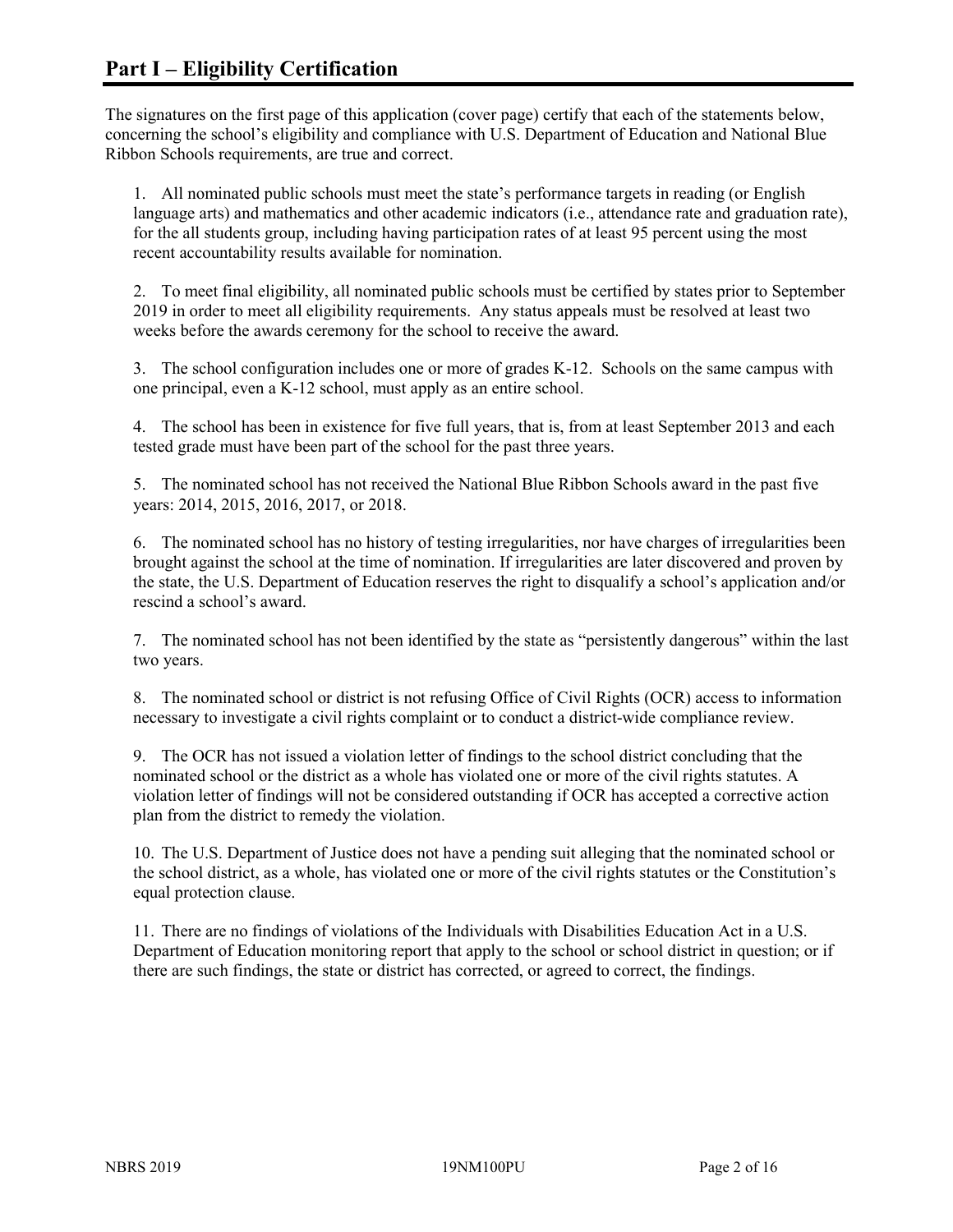The signatures on the first page of this application (cover page) certify that each of the statements below, concerning the school's eligibility and compliance with U.S. Department of Education and National Blue Ribbon Schools requirements, are true and correct.

1. All nominated public schools must meet the state's performance targets in reading (or English language arts) and mathematics and other academic indicators (i.e., attendance rate and graduation rate), for the all students group, including having participation rates of at least 95 percent using the most recent accountability results available for nomination.

2. To meet final eligibility, all nominated public schools must be certified by states prior to September 2019 in order to meet all eligibility requirements. Any status appeals must be resolved at least two weeks before the awards ceremony for the school to receive the award.

3. The school configuration includes one or more of grades K-12. Schools on the same campus with one principal, even a K-12 school, must apply as an entire school.

4. The school has been in existence for five full years, that is, from at least September 2013 and each tested grade must have been part of the school for the past three years.

5. The nominated school has not received the National Blue Ribbon Schools award in the past five years: 2014, 2015, 2016, 2017, or 2018.

6. The nominated school has no history of testing irregularities, nor have charges of irregularities been brought against the school at the time of nomination. If irregularities are later discovered and proven by the state, the U.S. Department of Education reserves the right to disqualify a school's application and/or rescind a school's award.

7. The nominated school has not been identified by the state as "persistently dangerous" within the last two years.

8. The nominated school or district is not refusing Office of Civil Rights (OCR) access to information necessary to investigate a civil rights complaint or to conduct a district-wide compliance review.

9. The OCR has not issued a violation letter of findings to the school district concluding that the nominated school or the district as a whole has violated one or more of the civil rights statutes. A violation letter of findings will not be considered outstanding if OCR has accepted a corrective action plan from the district to remedy the violation.

10. The U.S. Department of Justice does not have a pending suit alleging that the nominated school or the school district, as a whole, has violated one or more of the civil rights statutes or the Constitution's equal protection clause.

11. There are no findings of violations of the Individuals with Disabilities Education Act in a U.S. Department of Education monitoring report that apply to the school or school district in question; or if there are such findings, the state or district has corrected, or agreed to correct, the findings.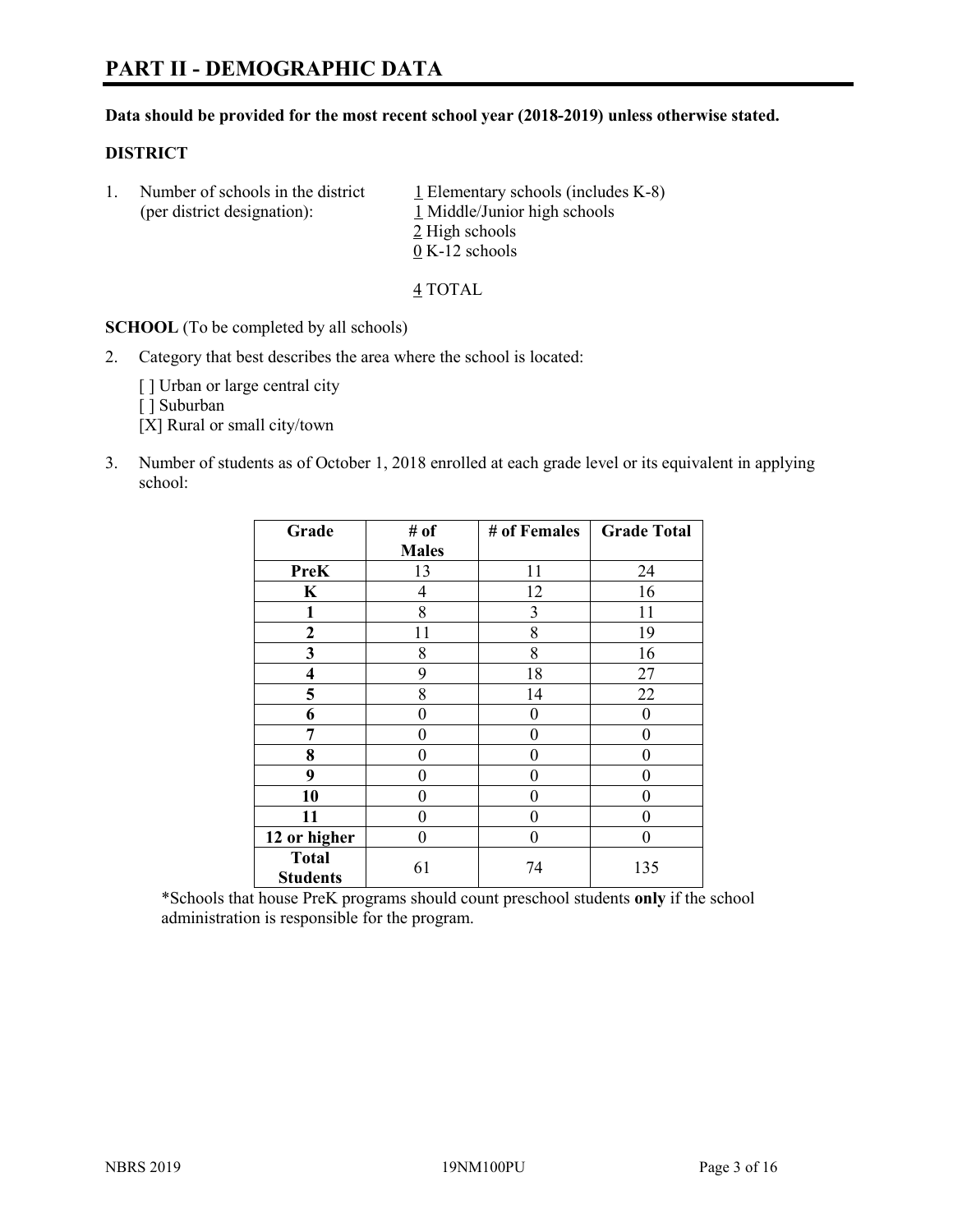#### **Data should be provided for the most recent school year (2018-2019) unless otherwise stated.**

#### **DISTRICT**

1. Number of schools in the district  $1$  Elementary schools (includes K-8) (per district designation): 1 Middle/Junior high schools 2 High schools 0 K-12 schools

4 TOTAL

**SCHOOL** (To be completed by all schools)

2. Category that best describes the area where the school is located:

[ ] Urban or large central city

[] Suburban

[X] Rural or small city/town

3. Number of students as of October 1, 2018 enrolled at each grade level or its equivalent in applying school:

| Grade                           | # of         | # of Females | <b>Grade Total</b> |
|---------------------------------|--------------|--------------|--------------------|
|                                 | <b>Males</b> |              |                    |
| <b>PreK</b>                     | 13           | 11           | 24                 |
| $\mathbf K$                     | 4            | 12           | 16                 |
| 1                               | 8            | 3            | 11                 |
| $\mathbf{2}$                    | 11           | 8            | 19                 |
| 3                               | 8            | 8            | 16                 |
| 4                               | 9            | 18           | 27                 |
| 5                               | 8            | 14           | 22                 |
| 6                               | 0            | 0            | 0                  |
| 7                               | 0            | 0            | 0                  |
| 8                               | 0            | 0            | 0                  |
| 9                               | 0            | 0            | 0                  |
| 10                              | 0            | 0            | 0                  |
| 11                              | 0            | 0            | 0                  |
| 12 or higher                    | 0            | 0            | 0                  |
| <b>Total</b><br><b>Students</b> | 61           | 74           | 135                |

\*Schools that house PreK programs should count preschool students **only** if the school administration is responsible for the program.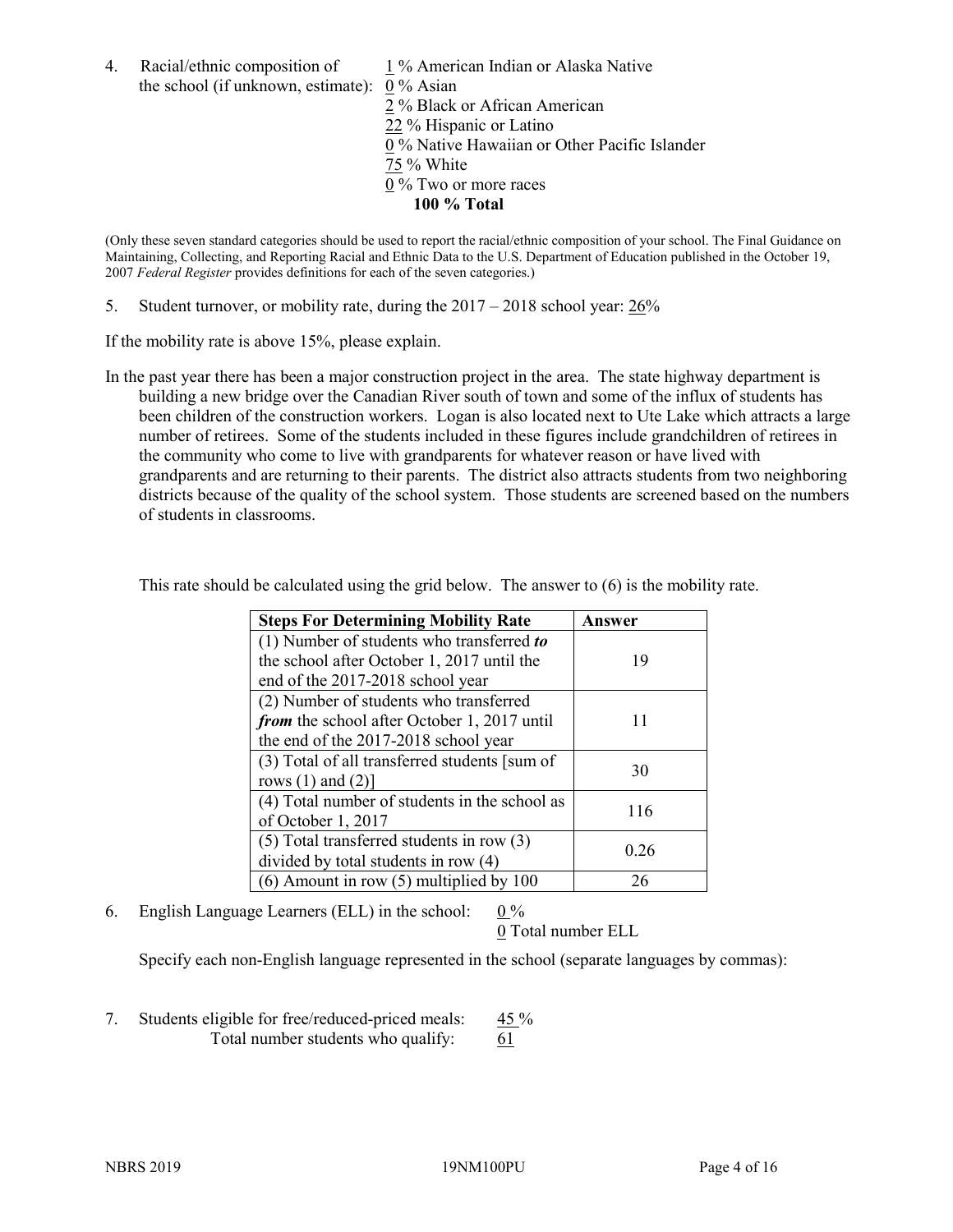4. Racial/ethnic composition of 1 % American Indian or Alaska Native the school (if unknown, estimate): 0 % Asian

 % Black or African American % Hispanic or Latino % Native Hawaiian or Other Pacific Islander 75 % White % Two or more races **100 % Total**

(Only these seven standard categories should be used to report the racial/ethnic composition of your school. The Final Guidance on Maintaining, Collecting, and Reporting Racial and Ethnic Data to the U.S. Department of Education published in the October 19, 2007 *Federal Register* provides definitions for each of the seven categories.)

5. Student turnover, or mobility rate, during the 2017 – 2018 school year: 26%

If the mobility rate is above 15%, please explain.

In the past year there has been a major construction project in the area. The state highway department is building a new bridge over the Canadian River south of town and some of the influx of students has been children of the construction workers. Logan is also located next to Ute Lake which attracts a large number of retirees. Some of the students included in these figures include grandchildren of retirees in the community who come to live with grandparents for whatever reason or have lived with grandparents and are returning to their parents. The district also attracts students from two neighboring districts because of the quality of the school system. Those students are screened based on the numbers of students in classrooms.

This rate should be calculated using the grid below. The answer to (6) is the mobility rate.

| <b>Steps For Determining Mobility Rate</b>                                                                                           | Answer |
|--------------------------------------------------------------------------------------------------------------------------------------|--------|
| (1) Number of students who transferred to<br>the school after October 1, 2017 until the                                              | 19     |
| end of the 2017-2018 school year                                                                                                     |        |
| (2) Number of students who transferred<br><i>from</i> the school after October 1, 2017 until<br>the end of the 2017-2018 school year | 11     |
| (3) Total of all transferred students [sum of<br>rows $(1)$ and $(2)$ ]                                                              | 30     |
| (4) Total number of students in the school as<br>of October 1, 2017                                                                  | 116    |
| $(5)$ Total transferred students in row $(3)$<br>divided by total students in row (4)                                                | 0.26   |
| $(6)$ Amount in row $(5)$ multiplied by 100                                                                                          | 26     |

6. English Language Learners (ELL) in the school:  $0\%$ 

0 Total number ELL

Specify each non-English language represented in the school (separate languages by commas):

7. Students eligible for free/reduced-priced meals: 45 % Total number students who qualify: 61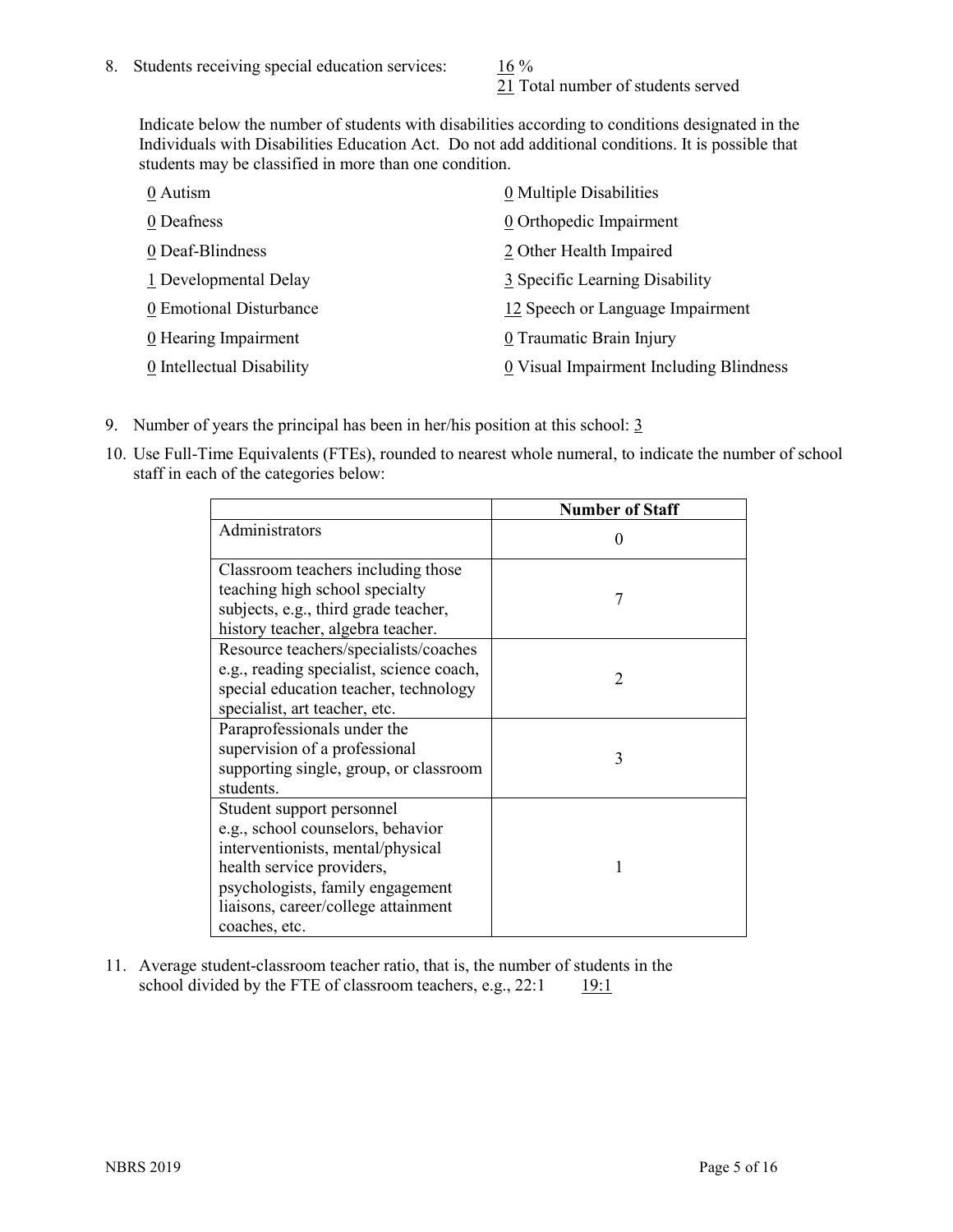21 Total number of students served

Indicate below the number of students with disabilities according to conditions designated in the Individuals with Disabilities Education Act. Do not add additional conditions. It is possible that students may be classified in more than one condition.

| 0 Autism                  | 0 Multiple Disabilities                 |
|---------------------------|-----------------------------------------|
| 0 Deafness                | 0 Orthopedic Impairment                 |
| 0 Deaf-Blindness          | 2 Other Health Impaired                 |
| 1 Developmental Delay     | 3 Specific Learning Disability          |
| 0 Emotional Disturbance   | 12 Speech or Language Impairment        |
| 0 Hearing Impairment      | 0 Traumatic Brain Injury                |
| 0 Intellectual Disability | 0 Visual Impairment Including Blindness |

- 9. Number of years the principal has been in her/his position at this school:  $\frac{3}{5}$
- 10. Use Full-Time Equivalents (FTEs), rounded to nearest whole numeral, to indicate the number of school staff in each of the categories below:

|                                                                                                                                                                                                                              | <b>Number of Staff</b> |
|------------------------------------------------------------------------------------------------------------------------------------------------------------------------------------------------------------------------------|------------------------|
| Administrators                                                                                                                                                                                                               | $\mathbf{\Omega}$      |
| Classroom teachers including those<br>teaching high school specialty<br>subjects, e.g., third grade teacher,<br>history teacher, algebra teacher.                                                                            | 7                      |
| Resource teachers/specialists/coaches<br>e.g., reading specialist, science coach,<br>special education teacher, technology<br>specialist, art teacher, etc.                                                                  | $\mathcal{D}$          |
| Paraprofessionals under the<br>supervision of a professional<br>supporting single, group, or classroom<br>students.                                                                                                          | 3                      |
| Student support personnel<br>e.g., school counselors, behavior<br>interventionists, mental/physical<br>health service providers,<br>psychologists, family engagement<br>liaisons, career/college attainment<br>coaches, etc. |                        |

11. Average student-classroom teacher ratio, that is, the number of students in the school divided by the FTE of classroom teachers, e.g.,  $22:1$  19:1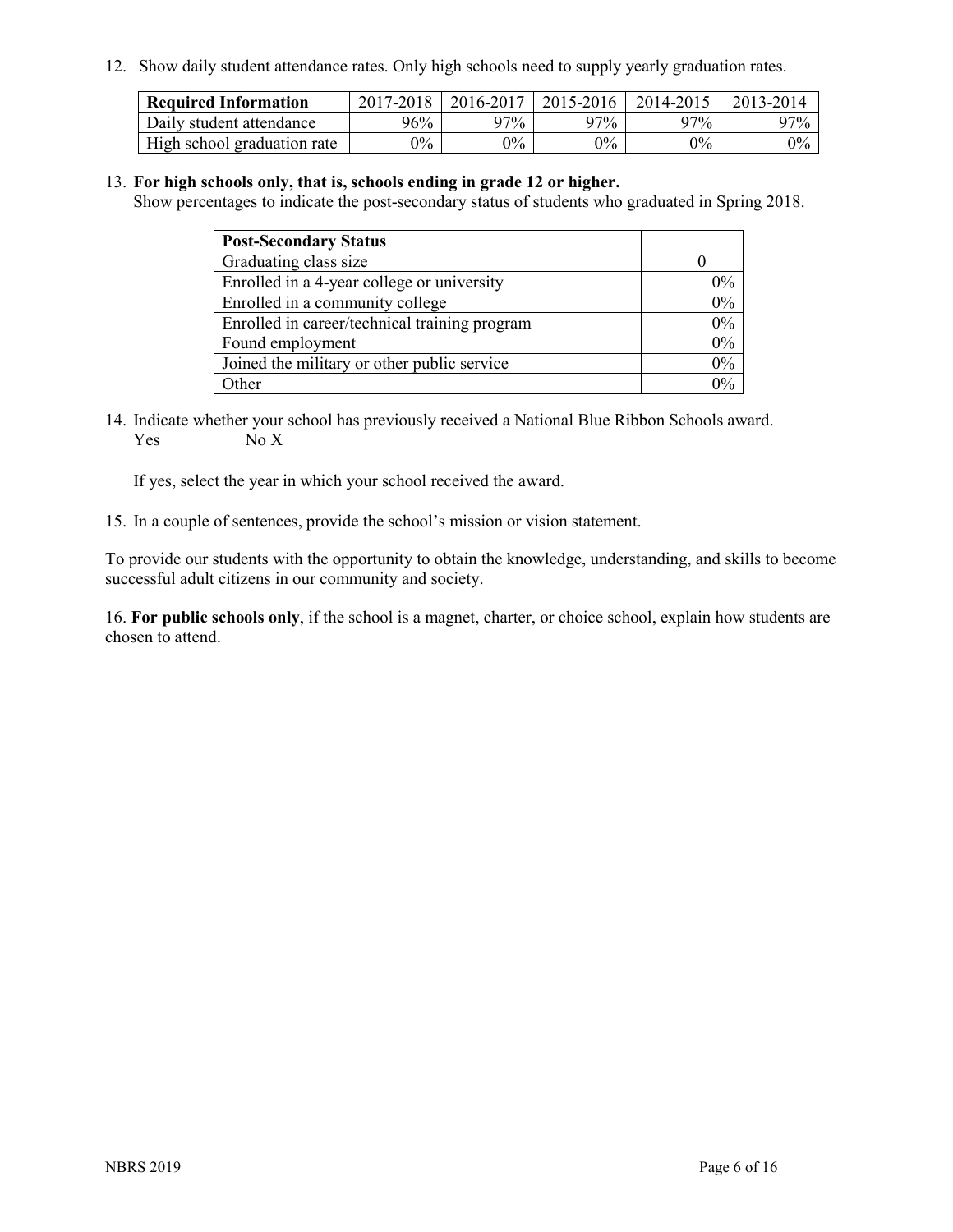12. Show daily student attendance rates. Only high schools need to supply yearly graduation rates.

| <b>Required Information</b> | 2017-2018 | 2016-2017 | 2015-2016 | 2014-2015 | 2013-2014 |
|-----------------------------|-----------|-----------|-----------|-----------|-----------|
| Daily student attendance    | 96%       | $97\%$    | 97%       | 97%       | $97\%$    |
| High school graduation rate | $0\%$     | $0\%$     | $0\%$     | $0\%$     | $0\%$     |

#### 13. **For high schools only, that is, schools ending in grade 12 or higher.**

Show percentages to indicate the post-secondary status of students who graduated in Spring 2018.

| <b>Post-Secondary Status</b>                  |       |
|-----------------------------------------------|-------|
| Graduating class size                         |       |
| Enrolled in a 4-year college or university    | $0\%$ |
| Enrolled in a community college               | 0%    |
| Enrolled in career/technical training program | 0%    |
| Found employment                              | 0%    |
| Joined the military or other public service   | 0%    |
| Other                                         | $0\%$ |

14. Indicate whether your school has previously received a National Blue Ribbon Schools award. Yes No X

If yes, select the year in which your school received the award.

15. In a couple of sentences, provide the school's mission or vision statement.

To provide our students with the opportunity to obtain the knowledge, understanding, and skills to become successful adult citizens in our community and society.

16. **For public schools only**, if the school is a magnet, charter, or choice school, explain how students are chosen to attend.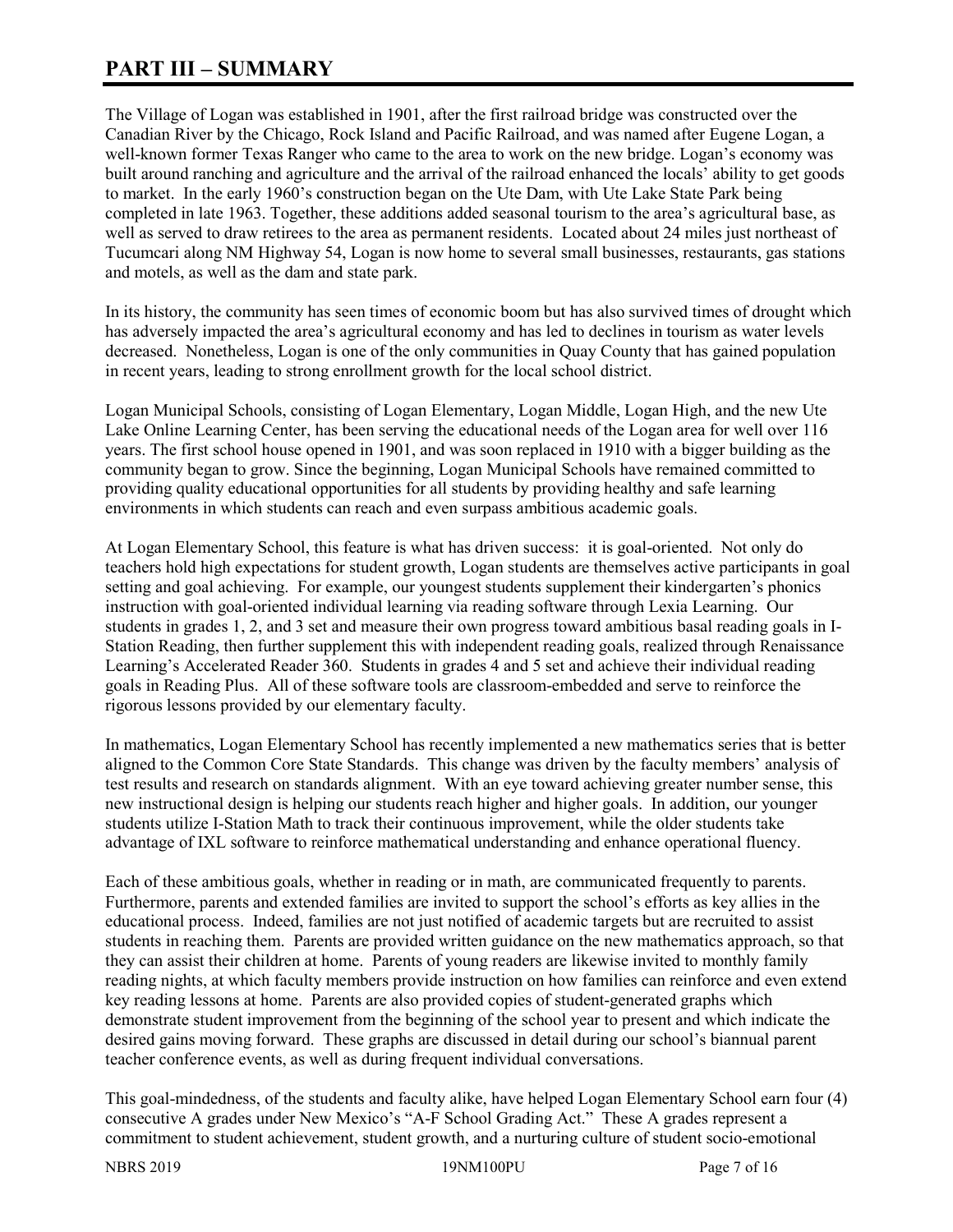# **PART III – SUMMARY**

The Village of Logan was established in 1901, after the first railroad bridge was constructed over the Canadian River by the Chicago, Rock Island and Pacific Railroad, and was named after Eugene Logan, a well-known former Texas Ranger who came to the area to work on the new bridge. Logan's economy was built around ranching and agriculture and the arrival of the railroad enhanced the locals' ability to get goods to market. In the early 1960's construction began on the Ute Dam, with Ute Lake State Park being completed in late 1963. Together, these additions added seasonal tourism to the area's agricultural base, as well as served to draw retirees to the area as permanent residents. Located about 24 miles just northeast of Tucumcari along NM Highway 54, Logan is now home to several small businesses, restaurants, gas stations and motels, as well as the dam and state park.

In its history, the community has seen times of economic boom but has also survived times of drought which has adversely impacted the area's agricultural economy and has led to declines in tourism as water levels decreased. Nonetheless, Logan is one of the only communities in Quay County that has gained population in recent years, leading to strong enrollment growth for the local school district.

Logan Municipal Schools, consisting of Logan Elementary, Logan Middle, Logan High, and the new Ute Lake Online Learning Center, has been serving the educational needs of the Logan area for well over 116 years. The first school house opened in 1901, and was soon replaced in 1910 with a bigger building as the community began to grow. Since the beginning, Logan Municipal Schools have remained committed to providing quality educational opportunities for all students by providing healthy and safe learning environments in which students can reach and even surpass ambitious academic goals.

At Logan Elementary School, this feature is what has driven success: it is goal-oriented. Not only do teachers hold high expectations for student growth, Logan students are themselves active participants in goal setting and goal achieving. For example, our youngest students supplement their kindergarten's phonics instruction with goal-oriented individual learning via reading software through Lexia Learning. Our students in grades 1, 2, and 3 set and measure their own progress toward ambitious basal reading goals in I-Station Reading, then further supplement this with independent reading goals, realized through Renaissance Learning's Accelerated Reader 360. Students in grades 4 and 5 set and achieve their individual reading goals in Reading Plus. All of these software tools are classroom-embedded and serve to reinforce the rigorous lessons provided by our elementary faculty.

In mathematics, Logan Elementary School has recently implemented a new mathematics series that is better aligned to the Common Core State Standards. This change was driven by the faculty members' analysis of test results and research on standards alignment. With an eye toward achieving greater number sense, this new instructional design is helping our students reach higher and higher goals. In addition, our younger students utilize I-Station Math to track their continuous improvement, while the older students take advantage of IXL software to reinforce mathematical understanding and enhance operational fluency.

Each of these ambitious goals, whether in reading or in math, are communicated frequently to parents. Furthermore, parents and extended families are invited to support the school's efforts as key allies in the educational process. Indeed, families are not just notified of academic targets but are recruited to assist students in reaching them. Parents are provided written guidance on the new mathematics approach, so that they can assist their children at home. Parents of young readers are likewise invited to monthly family reading nights, at which faculty members provide instruction on how families can reinforce and even extend key reading lessons at home. Parents are also provided copies of student-generated graphs which demonstrate student improvement from the beginning of the school year to present and which indicate the desired gains moving forward. These graphs are discussed in detail during our school's biannual parent teacher conference events, as well as during frequent individual conversations.

This goal-mindedness, of the students and faculty alike, have helped Logan Elementary School earn four (4) consecutive A grades under New Mexico's "A-F School Grading Act." These A grades represent a commitment to student achievement, student growth, and a nurturing culture of student socio-emotional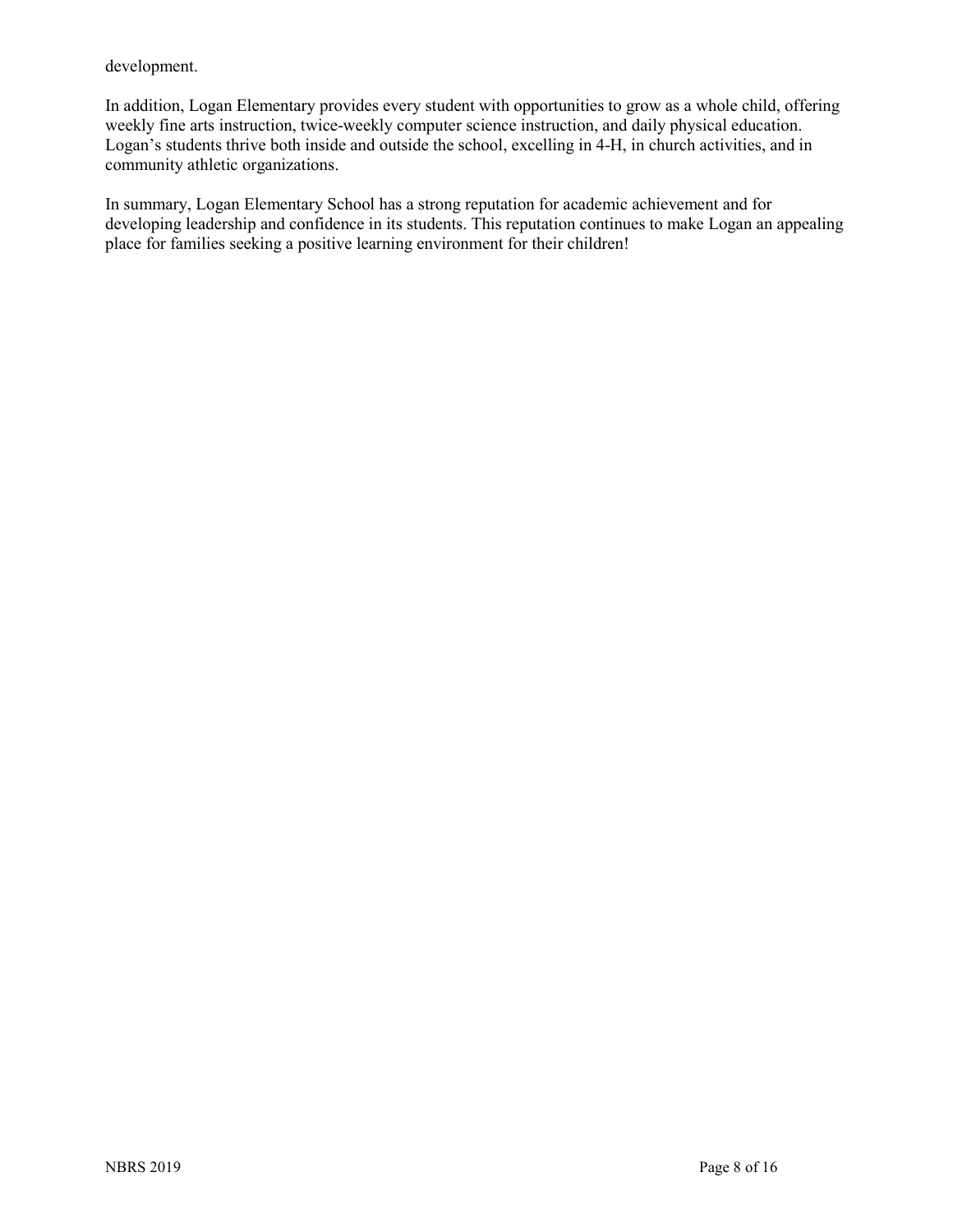#### development.

In addition, Logan Elementary provides every student with opportunities to grow as a whole child, offering weekly fine arts instruction, twice-weekly computer science instruction, and daily physical education. Logan's students thrive both inside and outside the school, excelling in 4-H, in church activities, and in community athletic organizations.

In summary, Logan Elementary School has a strong reputation for academic achievement and for developing leadership and confidence in its students. This reputation continues to make Logan an appealing place for families seeking a positive learning environment for their children!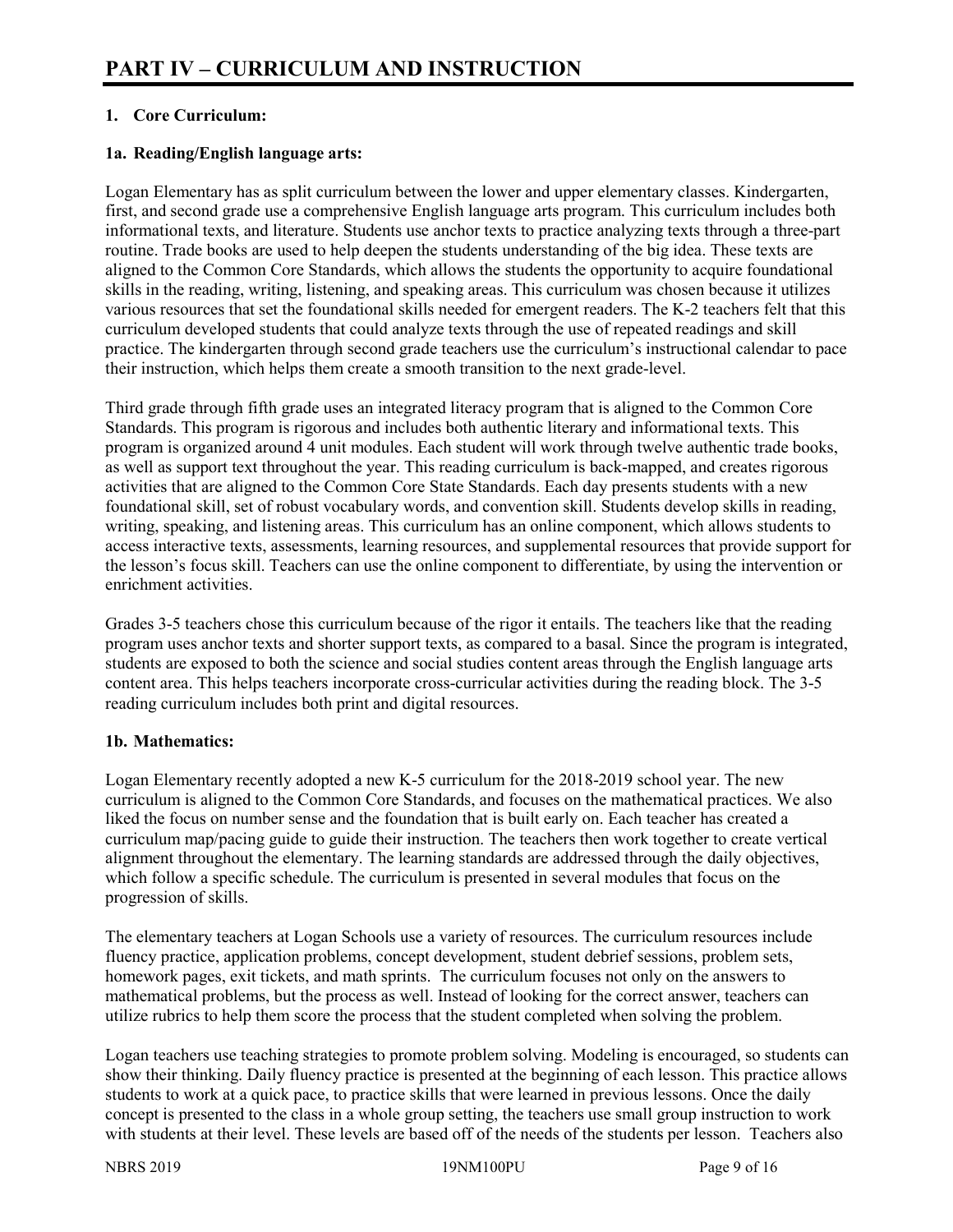# **1. Core Curriculum:**

# **1a. Reading/English language arts:**

Logan Elementary has as split curriculum between the lower and upper elementary classes. Kindergarten, first, and second grade use a comprehensive English language arts program. This curriculum includes both informational texts, and literature. Students use anchor texts to practice analyzing texts through a three-part routine. Trade books are used to help deepen the students understanding of the big idea. These texts are aligned to the Common Core Standards, which allows the students the opportunity to acquire foundational skills in the reading, writing, listening, and speaking areas. This curriculum was chosen because it utilizes various resources that set the foundational skills needed for emergent readers. The K-2 teachers felt that this curriculum developed students that could analyze texts through the use of repeated readings and skill practice. The kindergarten through second grade teachers use the curriculum's instructional calendar to pace their instruction, which helps them create a smooth transition to the next grade-level.

Third grade through fifth grade uses an integrated literacy program that is aligned to the Common Core Standards. This program is rigorous and includes both authentic literary and informational texts. This program is organized around 4 unit modules. Each student will work through twelve authentic trade books, as well as support text throughout the year. This reading curriculum is back-mapped, and creates rigorous activities that are aligned to the Common Core State Standards. Each day presents students with a new foundational skill, set of robust vocabulary words, and convention skill. Students develop skills in reading, writing, speaking, and listening areas. This curriculum has an online component, which allows students to access interactive texts, assessments, learning resources, and supplemental resources that provide support for the lesson's focus skill. Teachers can use the online component to differentiate, by using the intervention or enrichment activities.

Grades 3-5 teachers chose this curriculum because of the rigor it entails. The teachers like that the reading program uses anchor texts and shorter support texts, as compared to a basal. Since the program is integrated, students are exposed to both the science and social studies content areas through the English language arts content area. This helps teachers incorporate cross-curricular activities during the reading block. The 3-5 reading curriculum includes both print and digital resources.

#### **1b. Mathematics:**

Logan Elementary recently adopted a new K-5 curriculum for the 2018-2019 school year. The new curriculum is aligned to the Common Core Standards, and focuses on the mathematical practices. We also liked the focus on number sense and the foundation that is built early on. Each teacher has created a curriculum map/pacing guide to guide their instruction. The teachers then work together to create vertical alignment throughout the elementary. The learning standards are addressed through the daily objectives, which follow a specific schedule. The curriculum is presented in several modules that focus on the progression of skills.

The elementary teachers at Logan Schools use a variety of resources. The curriculum resources include fluency practice, application problems, concept development, student debrief sessions, problem sets, homework pages, exit tickets, and math sprints. The curriculum focuses not only on the answers to mathematical problems, but the process as well. Instead of looking for the correct answer, teachers can utilize rubrics to help them score the process that the student completed when solving the problem.

Logan teachers use teaching strategies to promote problem solving. Modeling is encouraged, so students can show their thinking. Daily fluency practice is presented at the beginning of each lesson. This practice allows students to work at a quick pace, to practice skills that were learned in previous lessons. Once the daily concept is presented to the class in a whole group setting, the teachers use small group instruction to work with students at their level. These levels are based off of the needs of the students per lesson. Teachers also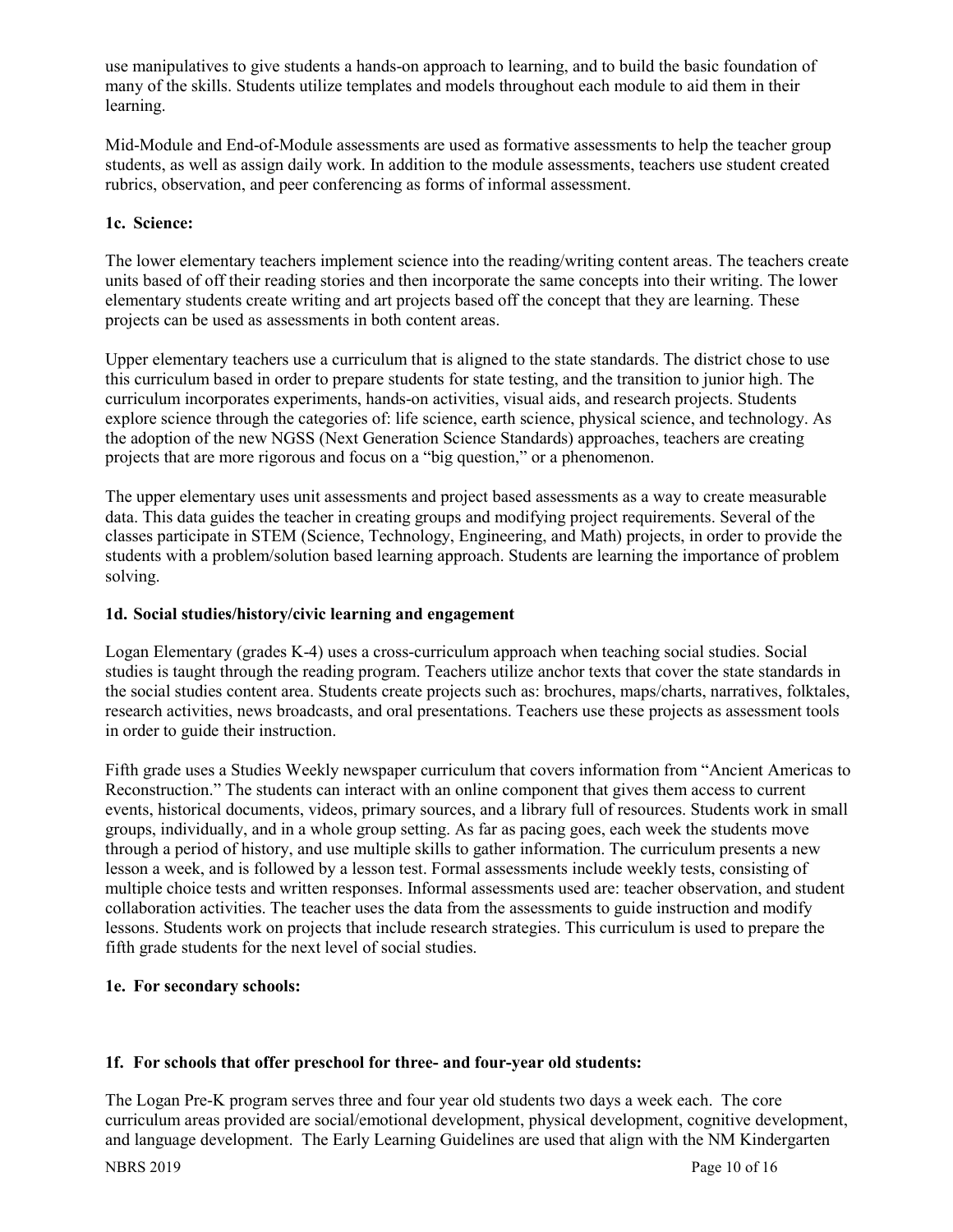use manipulatives to give students a hands-on approach to learning, and to build the basic foundation of many of the skills. Students utilize templates and models throughout each module to aid them in their learning.

Mid-Module and End-of-Module assessments are used as formative assessments to help the teacher group students, as well as assign daily work. In addition to the module assessments, teachers use student created rubrics, observation, and peer conferencing as forms of informal assessment.

#### **1c. Science:**

The lower elementary teachers implement science into the reading/writing content areas. The teachers create units based of off their reading stories and then incorporate the same concepts into their writing. The lower elementary students create writing and art projects based off the concept that they are learning. These projects can be used as assessments in both content areas.

Upper elementary teachers use a curriculum that is aligned to the state standards. The district chose to use this curriculum based in order to prepare students for state testing, and the transition to junior high. The curriculum incorporates experiments, hands-on activities, visual aids, and research projects. Students explore science through the categories of: life science, earth science, physical science, and technology. As the adoption of the new NGSS (Next Generation Science Standards) approaches, teachers are creating projects that are more rigorous and focus on a "big question," or a phenomenon.

The upper elementary uses unit assessments and project based assessments as a way to create measurable data. This data guides the teacher in creating groups and modifying project requirements. Several of the classes participate in STEM (Science, Technology, Engineering, and Math) projects, in order to provide the students with a problem/solution based learning approach. Students are learning the importance of problem solving.

#### **1d. Social studies/history/civic learning and engagement**

Logan Elementary (grades K-4) uses a cross-curriculum approach when teaching social studies. Social studies is taught through the reading program. Teachers utilize anchor texts that cover the state standards in the social studies content area. Students create projects such as: brochures, maps/charts, narratives, folktales, research activities, news broadcasts, and oral presentations. Teachers use these projects as assessment tools in order to guide their instruction.

Fifth grade uses a Studies Weekly newspaper curriculum that covers information from "Ancient Americas to Reconstruction." The students can interact with an online component that gives them access to current events, historical documents, videos, primary sources, and a library full of resources. Students work in small groups, individually, and in a whole group setting. As far as pacing goes, each week the students move through a period of history, and use multiple skills to gather information. The curriculum presents a new lesson a week, and is followed by a lesson test. Formal assessments include weekly tests, consisting of multiple choice tests and written responses. Informal assessments used are: teacher observation, and student collaboration activities. The teacher uses the data from the assessments to guide instruction and modify lessons. Students work on projects that include research strategies. This curriculum is used to prepare the fifth grade students for the next level of social studies.

#### **1e. For secondary schools:**

#### **1f. For schools that offer preschool for three- and four-year old students:**

The Logan Pre-K program serves three and four year old students two days a week each. The core curriculum areas provided are social/emotional development, physical development, cognitive development, and language development. The Early Learning Guidelines are used that align with the NM Kindergarten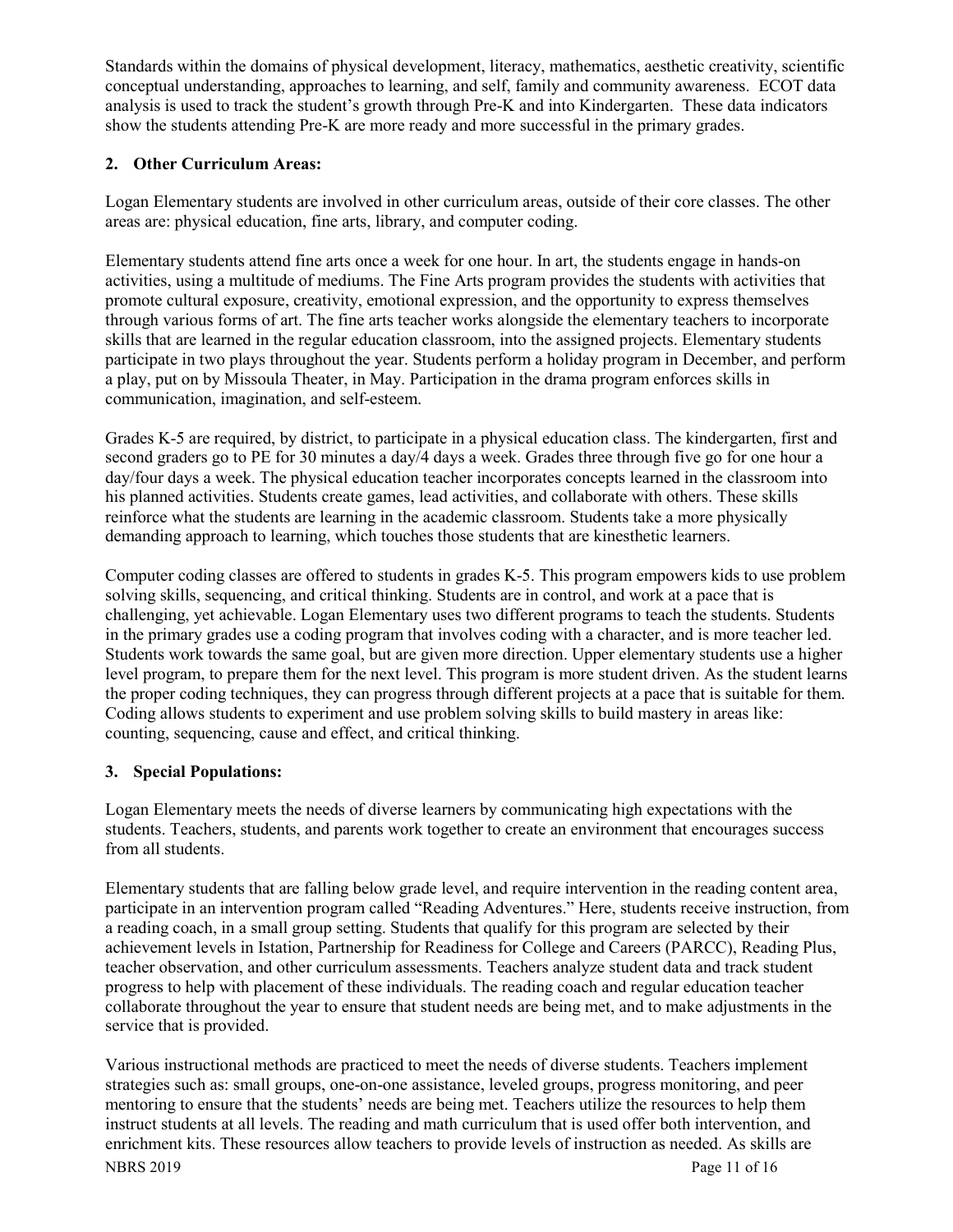Standards within the domains of physical development, literacy, mathematics, aesthetic creativity, scientific conceptual understanding, approaches to learning, and self, family and community awareness. ECOT data analysis is used to track the student's growth through Pre-K and into Kindergarten. These data indicators show the students attending Pre-K are more ready and more successful in the primary grades.

# **2. Other Curriculum Areas:**

Logan Elementary students are involved in other curriculum areas, outside of their core classes. The other areas are: physical education, fine arts, library, and computer coding.

Elementary students attend fine arts once a week for one hour. In art, the students engage in hands-on activities, using a multitude of mediums. The Fine Arts program provides the students with activities that promote cultural exposure, creativity, emotional expression, and the opportunity to express themselves through various forms of art. The fine arts teacher works alongside the elementary teachers to incorporate skills that are learned in the regular education classroom, into the assigned projects. Elementary students participate in two plays throughout the year. Students perform a holiday program in December, and perform a play, put on by Missoula Theater, in May. Participation in the drama program enforces skills in communication, imagination, and self-esteem.

Grades K-5 are required, by district, to participate in a physical education class. The kindergarten, first and second graders go to PE for 30 minutes a day/4 days a week. Grades three through five go for one hour a day/four days a week. The physical education teacher incorporates concepts learned in the classroom into his planned activities. Students create games, lead activities, and collaborate with others. These skills reinforce what the students are learning in the academic classroom. Students take a more physically demanding approach to learning, which touches those students that are kinesthetic learners.

Computer coding classes are offered to students in grades K-5. This program empowers kids to use problem solving skills, sequencing, and critical thinking. Students are in control, and work at a pace that is challenging, yet achievable. Logan Elementary uses two different programs to teach the students. Students in the primary grades use a coding program that involves coding with a character, and is more teacher led. Students work towards the same goal, but are given more direction. Upper elementary students use a higher level program, to prepare them for the next level. This program is more student driven. As the student learns the proper coding techniques, they can progress through different projects at a pace that is suitable for them. Coding allows students to experiment and use problem solving skills to build mastery in areas like: counting, sequencing, cause and effect, and critical thinking.

# **3. Special Populations:**

Logan Elementary meets the needs of diverse learners by communicating high expectations with the students. Teachers, students, and parents work together to create an environment that encourages success from all students.

Elementary students that are falling below grade level, and require intervention in the reading content area, participate in an intervention program called "Reading Adventures." Here, students receive instruction, from a reading coach, in a small group setting. Students that qualify for this program are selected by their achievement levels in Istation, Partnership for Readiness for College and Careers (PARCC), Reading Plus, teacher observation, and other curriculum assessments. Teachers analyze student data and track student progress to help with placement of these individuals. The reading coach and regular education teacher collaborate throughout the year to ensure that student needs are being met, and to make adjustments in the service that is provided.

NBRS 2019 Page 11 of 16 Various instructional methods are practiced to meet the needs of diverse students. Teachers implement strategies such as: small groups, one-on-one assistance, leveled groups, progress monitoring, and peer mentoring to ensure that the students' needs are being met. Teachers utilize the resources to help them instruct students at all levels. The reading and math curriculum that is used offer both intervention, and enrichment kits. These resources allow teachers to provide levels of instruction as needed. As skills are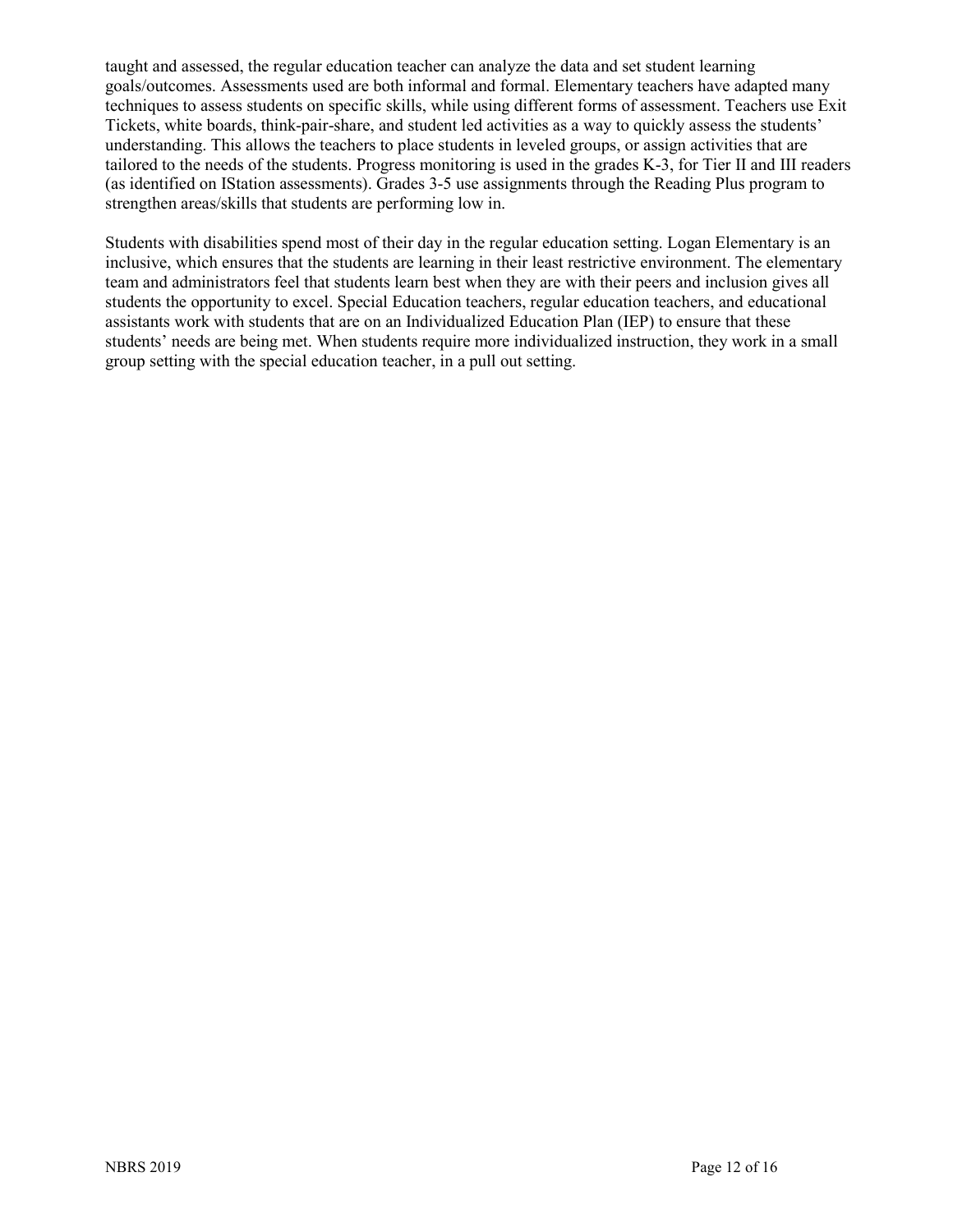taught and assessed, the regular education teacher can analyze the data and set student learning goals/outcomes. Assessments used are both informal and formal. Elementary teachers have adapted many techniques to assess students on specific skills, while using different forms of assessment. Teachers use Exit Tickets, white boards, think-pair-share, and student led activities as a way to quickly assess the students' understanding. This allows the teachers to place students in leveled groups, or assign activities that are tailored to the needs of the students. Progress monitoring is used in the grades K-3, for Tier II and III readers (as identified on IStation assessments). Grades 3-5 use assignments through the Reading Plus program to strengthen areas/skills that students are performing low in.

Students with disabilities spend most of their day in the regular education setting. Logan Elementary is an inclusive, which ensures that the students are learning in their least restrictive environment. The elementary team and administrators feel that students learn best when they are with their peers and inclusion gives all students the opportunity to excel. Special Education teachers, regular education teachers, and educational assistants work with students that are on an Individualized Education Plan (IEP) to ensure that these students' needs are being met. When students require more individualized instruction, they work in a small group setting with the special education teacher, in a pull out setting.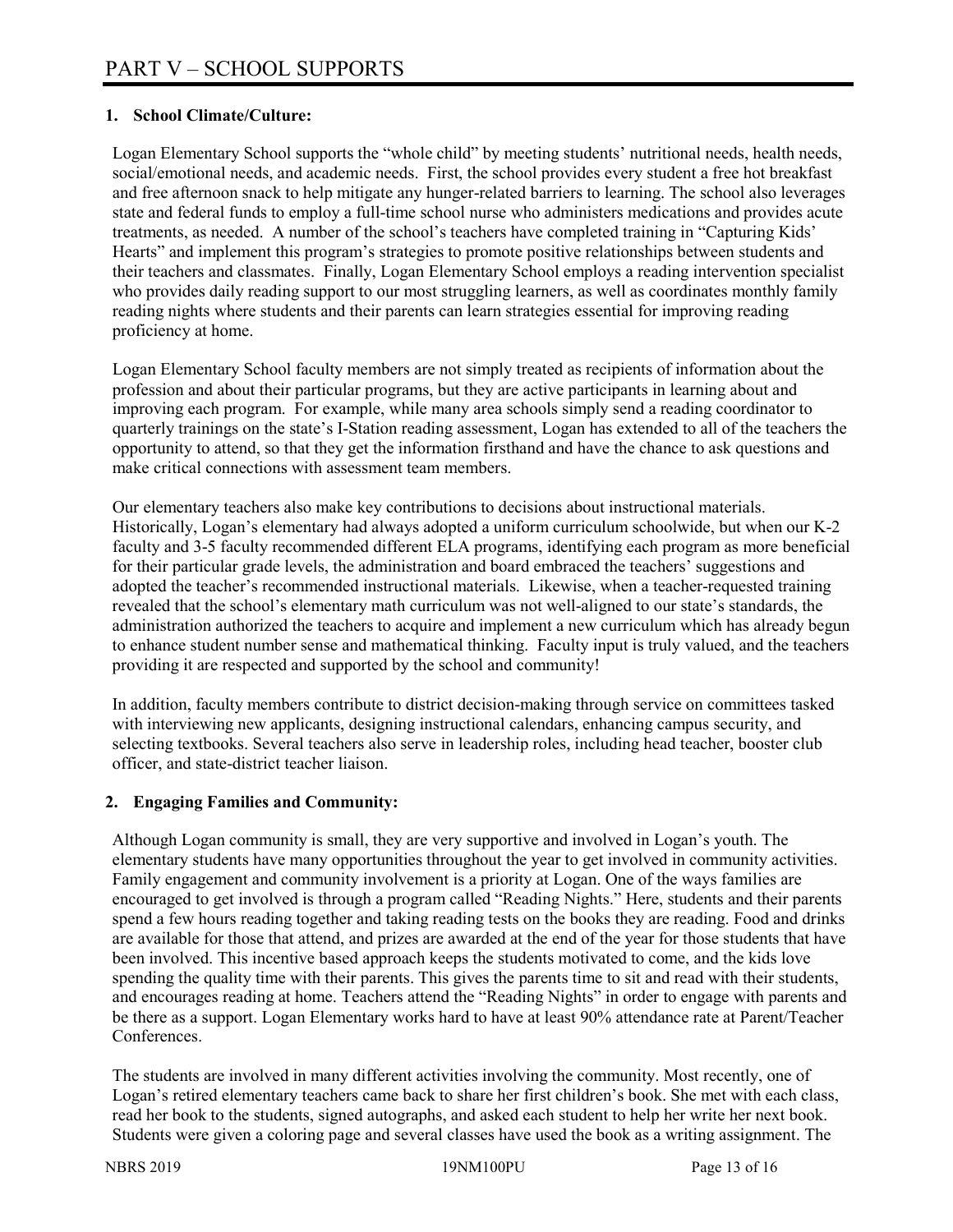## **1. School Climate/Culture:**

Logan Elementary School supports the "whole child" by meeting students' nutritional needs, health needs, social/emotional needs, and academic needs. First, the school provides every student a free hot breakfast and free afternoon snack to help mitigate any hunger-related barriers to learning. The school also leverages state and federal funds to employ a full-time school nurse who administers medications and provides acute treatments, as needed. A number of the school's teachers have completed training in "Capturing Kids' Hearts" and implement this program's strategies to promote positive relationships between students and their teachers and classmates. Finally, Logan Elementary School employs a reading intervention specialist who provides daily reading support to our most struggling learners, as well as coordinates monthly family reading nights where students and their parents can learn strategies essential for improving reading proficiency at home.

Logan Elementary School faculty members are not simply treated as recipients of information about the profession and about their particular programs, but they are active participants in learning about and improving each program. For example, while many area schools simply send a reading coordinator to quarterly trainings on the state's I-Station reading assessment, Logan has extended to all of the teachers the opportunity to attend, so that they get the information firsthand and have the chance to ask questions and make critical connections with assessment team members.

Our elementary teachers also make key contributions to decisions about instructional materials. Historically, Logan's elementary had always adopted a uniform curriculum schoolwide, but when our K-2 faculty and 3-5 faculty recommended different ELA programs, identifying each program as more beneficial for their particular grade levels, the administration and board embraced the teachers' suggestions and adopted the teacher's recommended instructional materials. Likewise, when a teacher-requested training revealed that the school's elementary math curriculum was not well-aligned to our state's standards, the administration authorized the teachers to acquire and implement a new curriculum which has already begun to enhance student number sense and mathematical thinking. Faculty input is truly valued, and the teachers providing it are respected and supported by the school and community!

In addition, faculty members contribute to district decision-making through service on committees tasked with interviewing new applicants, designing instructional calendars, enhancing campus security, and selecting textbooks. Several teachers also serve in leadership roles, including head teacher, booster club officer, and state-district teacher liaison.

#### **2. Engaging Families and Community:**

Although Logan community is small, they are very supportive and involved in Logan's youth. The elementary students have many opportunities throughout the year to get involved in community activities. Family engagement and community involvement is a priority at Logan. One of the ways families are encouraged to get involved is through a program called "Reading Nights." Here, students and their parents spend a few hours reading together and taking reading tests on the books they are reading. Food and drinks are available for those that attend, and prizes are awarded at the end of the year for those students that have been involved. This incentive based approach keeps the students motivated to come, and the kids love spending the quality time with their parents. This gives the parents time to sit and read with their students, and encourages reading at home. Teachers attend the "Reading Nights" in order to engage with parents and be there as a support. Logan Elementary works hard to have at least 90% attendance rate at Parent/Teacher Conferences.

The students are involved in many different activities involving the community. Most recently, one of Logan's retired elementary teachers came back to share her first children's book. She met with each class, read her book to the students, signed autographs, and asked each student to help her write her next book. Students were given a coloring page and several classes have used the book as a writing assignment. The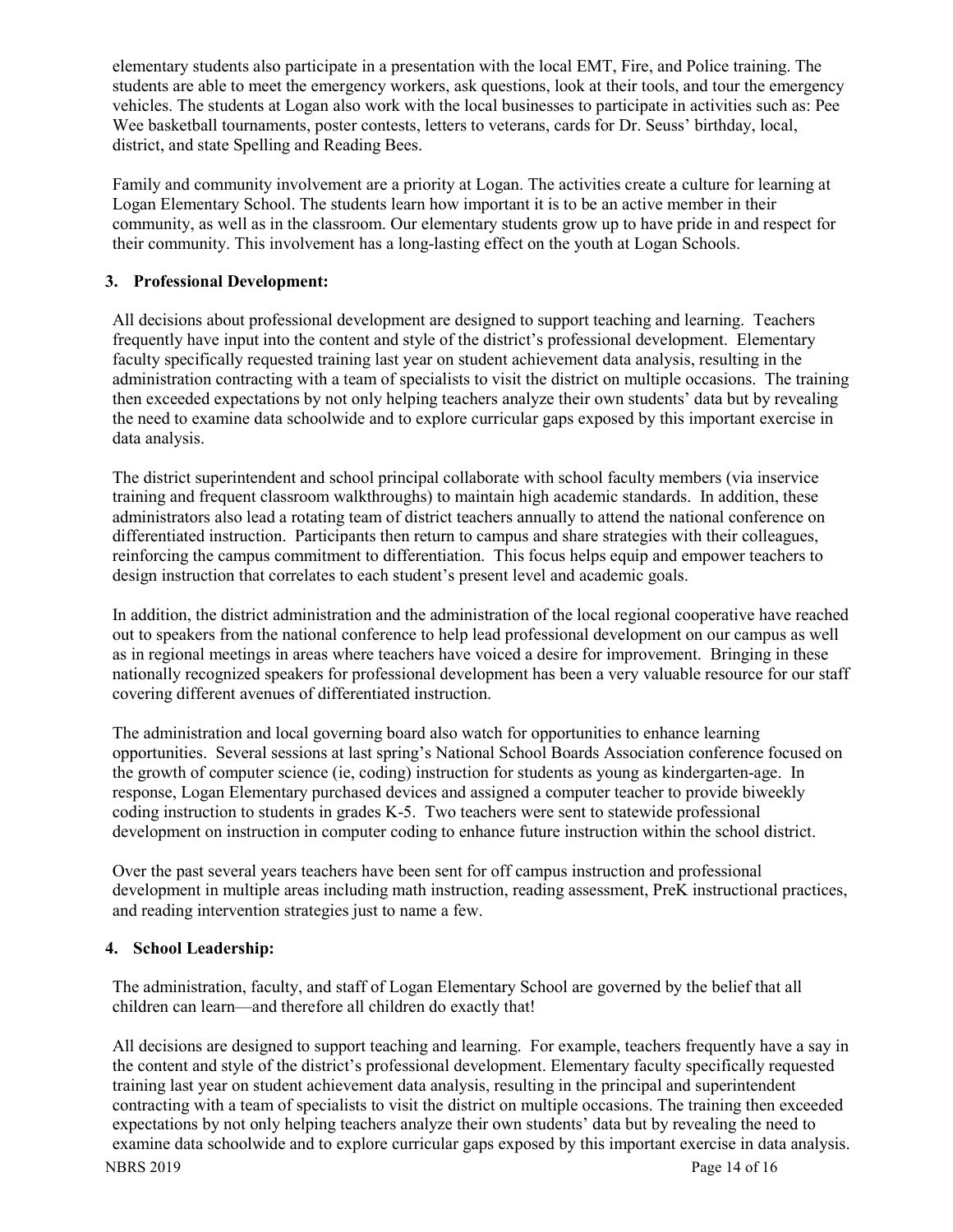elementary students also participate in a presentation with the local EMT, Fire, and Police training. The students are able to meet the emergency workers, ask questions, look at their tools, and tour the emergency vehicles. The students at Logan also work with the local businesses to participate in activities such as: Pee Wee basketball tournaments, poster contests, letters to veterans, cards for Dr. Seuss' birthday, local, district, and state Spelling and Reading Bees.

Family and community involvement are a priority at Logan. The activities create a culture for learning at Logan Elementary School. The students learn how important it is to be an active member in their community, as well as in the classroom. Our elementary students grow up to have pride in and respect for their community. This involvement has a long-lasting effect on the youth at Logan Schools.

## **3. Professional Development:**

All decisions about professional development are designed to support teaching and learning. Teachers frequently have input into the content and style of the district's professional development. Elementary faculty specifically requested training last year on student achievement data analysis, resulting in the administration contracting with a team of specialists to visit the district on multiple occasions. The training then exceeded expectations by not only helping teachers analyze their own students' data but by revealing the need to examine data schoolwide and to explore curricular gaps exposed by this important exercise in data analysis.

The district superintendent and school principal collaborate with school faculty members (via inservice training and frequent classroom walkthroughs) to maintain high academic standards. In addition, these administrators also lead a rotating team of district teachers annually to attend the national conference on differentiated instruction. Participants then return to campus and share strategies with their colleagues, reinforcing the campus commitment to differentiation. This focus helps equip and empower teachers to design instruction that correlates to each student's present level and academic goals.

In addition, the district administration and the administration of the local regional cooperative have reached out to speakers from the national conference to help lead professional development on our campus as well as in regional meetings in areas where teachers have voiced a desire for improvement. Bringing in these nationally recognized speakers for professional development has been a very valuable resource for our staff covering different avenues of differentiated instruction.

The administration and local governing board also watch for opportunities to enhance learning opportunities. Several sessions at last spring's National School Boards Association conference focused on the growth of computer science (ie, coding) instruction for students as young as kindergarten-age. In response, Logan Elementary purchased devices and assigned a computer teacher to provide biweekly coding instruction to students in grades K-5. Two teachers were sent to statewide professional development on instruction in computer coding to enhance future instruction within the school district.

Over the past several years teachers have been sent for off campus instruction and professional development in multiple areas including math instruction, reading assessment, PreK instructional practices, and reading intervention strategies just to name a few.

# **4. School Leadership:**

The administration, faculty, and staff of Logan Elementary School are governed by the belief that all children can learn—and therefore all children do exactly that!

All decisions are designed to support teaching and learning. For example, teachers frequently have a say in the content and style of the district's professional development. Elementary faculty specifically requested training last year on student achievement data analysis, resulting in the principal and superintendent contracting with a team of specialists to visit the district on multiple occasions. The training then exceeded expectations by not only helping teachers analyze their own students' data but by revealing the need to examine data schoolwide and to explore curricular gaps exposed by this important exercise in data analysis.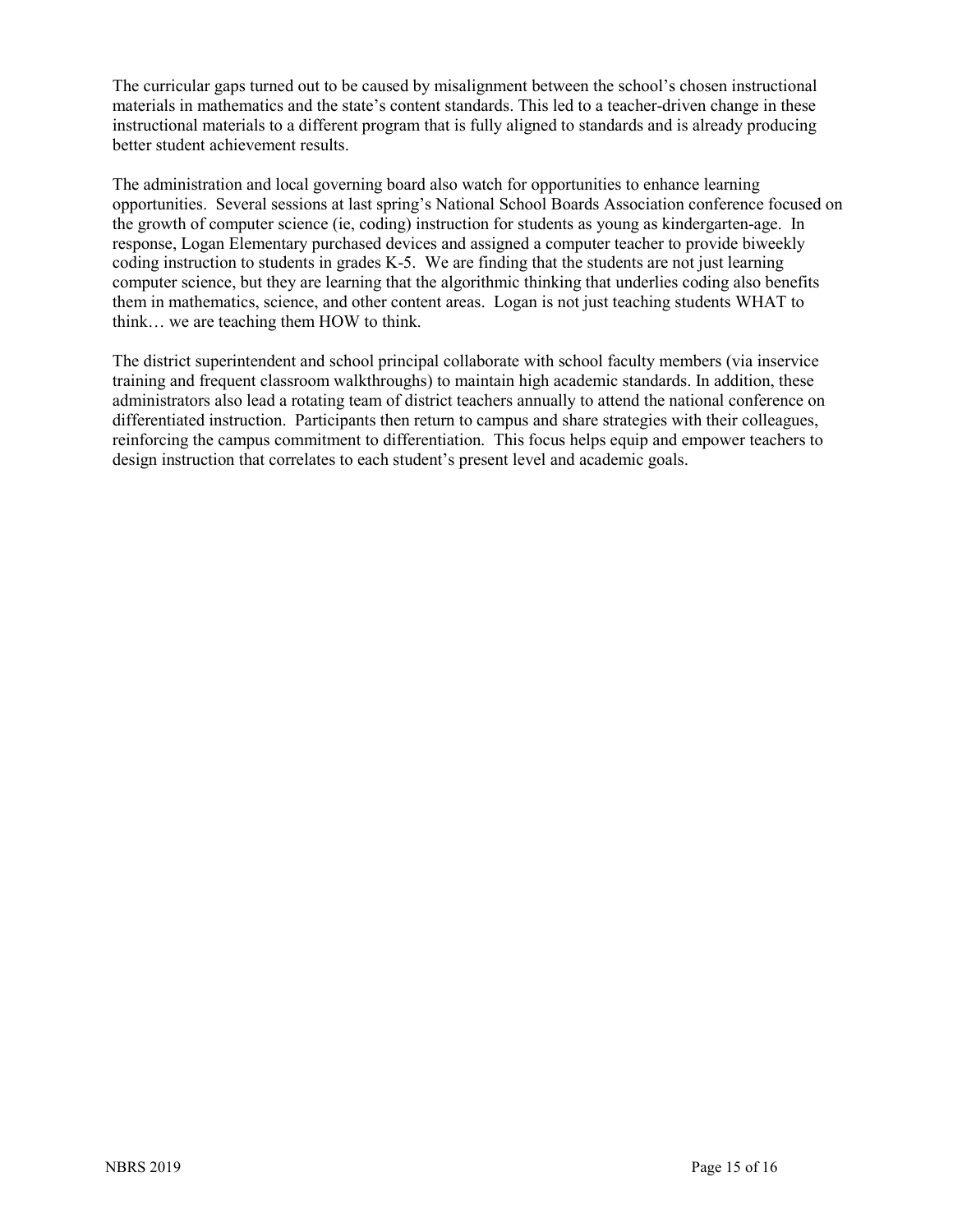The curricular gaps turned out to be caused by misalignment between the school's chosen instructional materials in mathematics and the state's content standards. This led to a teacher-driven change in these instructional materials to a different program that is fully aligned to standards and is already producing better student achievement results.

The administration and local governing board also watch for opportunities to enhance learning opportunities. Several sessions at last spring's National School Boards Association conference focused on the growth of computer science (ie, coding) instruction for students as young as kindergarten-age. In response, Logan Elementary purchased devices and assigned a computer teacher to provide biweekly coding instruction to students in grades K-5. We are finding that the students are not just learning computer science, but they are learning that the algorithmic thinking that underlies coding also benefits them in mathematics, science, and other content areas. Logan is not just teaching students WHAT to think… we are teaching them HOW to think.

The district superintendent and school principal collaborate with school faculty members (via inservice training and frequent classroom walkthroughs) to maintain high academic standards. In addition, these administrators also lead a rotating team of district teachers annually to attend the national conference on differentiated instruction. Participants then return to campus and share strategies with their colleagues, reinforcing the campus commitment to differentiation. This focus helps equip and empower teachers to design instruction that correlates to each student's present level and academic goals.